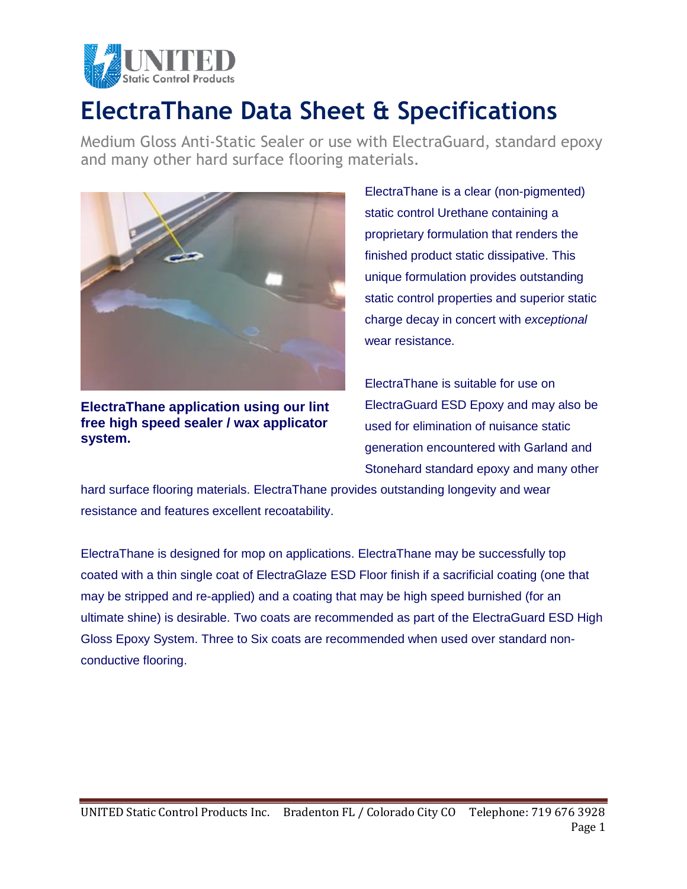

## **ElectraThane Data Sheet & Specifications**

Medium Gloss Anti-Static Sealer or use with ElectraGuard, standard epoxy and many other hard surface flooring materials.



**ElectraThane application using our lint free high speed sealer / wax applicator system.** 

ElectraThane is a clear (non-pigmented) static control Urethane containing a proprietary formulation that renders the finished product static dissipative. This unique formulation provides outstanding static control properties and superior static charge decay in concert with *exceptional* wear resistance.

ElectraThane is suitable for use on ElectraGuard ESD Epoxy and may also be used for elimination of nuisance static generation encountered with Garland and Stonehard standard epoxy and many other

hard surface flooring materials. ElectraThane provides outstanding longevity and wear resistance and features excellent recoatability.

ElectraThane is designed for mop on applications. ElectraThane may be successfully top coated with a thin single coat of ElectraGlaze ESD Floor finish if a sacrificial coating (one that may be stripped and re-applied) and a coating that may be high speed burnished (for an ultimate shine) is desirable. Two coats are recommended as part of the ElectraGuard ESD High Gloss Epoxy System. Three to Six coats are recommended when used over standard nonconductive flooring.